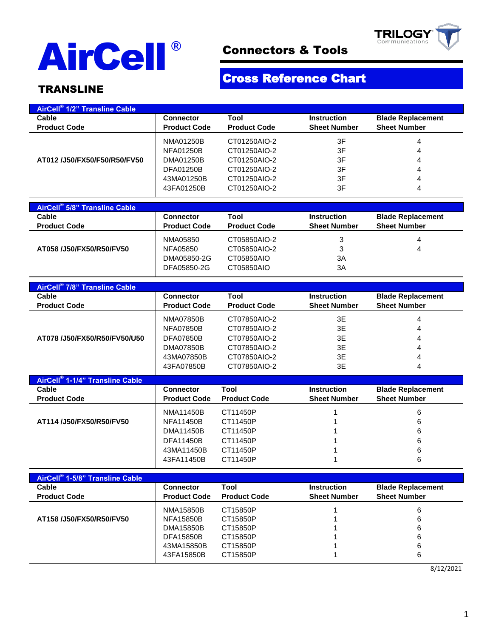

## Connectors & Tools

# Cross Reference Chart

### TRANSLINE

Т

| AirCell <sup>®</sup> 1/2" Transline Cable       |                     |                     |                     |                          |
|-------------------------------------------------|---------------------|---------------------|---------------------|--------------------------|
| Cable                                           | <b>Connector</b>    | Tool                | <b>Instruction</b>  | <b>Blade Replacement</b> |
| <b>Product Code</b>                             | <b>Product Code</b> | <b>Product Code</b> | <b>Sheet Number</b> | <b>Sheet Number</b>      |
|                                                 | <b>NMA01250B</b>    | CT01250AIO-2        | 3F                  | 4                        |
|                                                 |                     |                     | 3F                  |                          |
|                                                 | <b>NFA01250B</b>    | CT01250AIO-2        |                     | 4                        |
| AT012 /J50/FX50/F50/R50/FV50                    | DMA01250B           | CT01250AIO-2        | 3F                  | 4                        |
|                                                 | DFA01250B           | CT01250AIO-2        | 3F                  | 4                        |
|                                                 | 43MA01250B          | CT01250AIO-2        | 3F                  | 4                        |
|                                                 | 43FA01250B          | CT01250AIO-2        | 3F                  | 4                        |
|                                                 |                     |                     |                     |                          |
| <b>AirCell<sup>®</sup> 5/8" Transline Cable</b> |                     |                     |                     |                          |
| Cable                                           | <b>Connector</b>    | Tool                | <b>Instruction</b>  | <b>Blade Replacement</b> |
| <b>Product Code</b>                             | <b>Product Code</b> | <b>Product Code</b> | <b>Sheet Number</b> | <b>Sheet Number</b>      |
|                                                 | NMA05850            | CT05850AIO-2        | 3                   | 4                        |
| AT058 /J50/FX50/R50/FV50                        | <b>NFA05850</b>     | CT05850AIO-2        | 3                   | 4                        |
|                                                 | DMA05850-2G         | CT05850AIO          | 3A                  |                          |
|                                                 | DFA05850-2G         | CT05850AIO          | 3A                  |                          |
|                                                 |                     |                     |                     |                          |
| AirCell® 7/8" Transline Cable                   |                     |                     |                     |                          |
| Cable                                           | <b>Connector</b>    | Tool                | <b>Instruction</b>  | <b>Blade Replacement</b> |
| <b>Product Code</b>                             | <b>Product Code</b> | <b>Product Code</b> | <b>Sheet Number</b> | <b>Sheet Number</b>      |
|                                                 |                     |                     |                     |                          |
|                                                 | <b>NMA07850B</b>    | CT07850AIO-2        | 3E                  | 4                        |
|                                                 | <b>NFA07850B</b>    | CT07850AIO-2        | 3E                  | 4                        |
| AT078 /J50/FX50/R50/FV50/U50                    | <b>DFA07850B</b>    | CT07850AIO-2        | 3E                  | 4                        |
|                                                 | <b>DMA07850B</b>    | CT07850AIO-2        | 3E                  | 4                        |
|                                                 | 43MA07850B          | CT07850AIO-2        | 3E                  | 4                        |
|                                                 | 43FA07850B          | CT07850AIO-2        | 3E                  | 4                        |
| AirCell <sup>®</sup> 1-1/4" Transline Cable     |                     |                     |                     |                          |
| Cable                                           | <b>Connector</b>    | Tool                | <b>Instruction</b>  |                          |
|                                                 |                     |                     |                     | <b>Blade Replacement</b> |
| <b>Product Code</b>                             | <b>Product Code</b> | <b>Product Code</b> | <b>Sheet Number</b> | <b>Sheet Number</b>      |
|                                                 | <b>NMA11450B</b>    | CT11450P            | 1                   | 6                        |
| AT114 /J50/FX50/R50/FV50                        | <b>NFA11450B</b>    | CT11450P            |                     | 6                        |
|                                                 | DMA11450B           | CT11450P            |                     | 6                        |
|                                                 | <b>DFA11450B</b>    | CT11450P            |                     | 6                        |
|                                                 | 43MA11450B          | CT11450P            |                     | 6                        |
|                                                 | 43FA11450B          | CT11450P            |                     | 6                        |
|                                                 |                     |                     |                     |                          |
| AirCell <sup>®</sup> 1-5/8" Transline Cable     |                     |                     |                     |                          |
| Cable                                           | <b>Connector</b>    | Tool                | <b>Instruction</b>  | <b>Blade Replacement</b> |
| <b>Product Code</b>                             | <b>Product Code</b> | <b>Product Code</b> | <b>Sheet Number</b> | <b>Sheet Number</b>      |
|                                                 |                     |                     |                     |                          |
|                                                 | <b>NMA15850B</b>    | CT15850P            | 1                   | 6                        |
| AT158 /J50/FX50/R50/FV50                        | NFA15850B           | CT15850P            |                     | 6                        |
|                                                 | DMA15850B           | CT15850P            |                     | 6                        |
|                                                 | <b>DFA15850B</b>    | CT15850P            |                     | 6                        |
|                                                 | 43MA15850B          | CT15850P            |                     | 6                        |
|                                                 | 43FA15850B          | CT15850P            |                     | 6                        |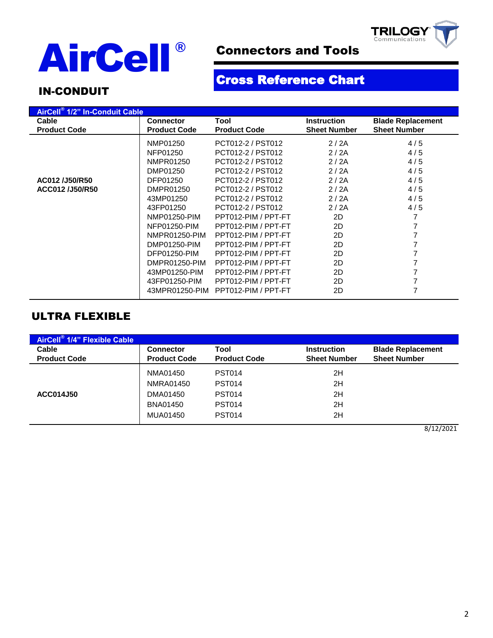



## Connectors and Tools

# Cross Reference Chart

### IN-CONDUIT

| AirCell <sup>®</sup> 1/2" In-Conduit Cable |                     |                     |                     |                          |  |  |  |
|--------------------------------------------|---------------------|---------------------|---------------------|--------------------------|--|--|--|
| Cable                                      | <b>Connector</b>    | Tool                | <b>Instruction</b>  | <b>Blade Replacement</b> |  |  |  |
| <b>Product Code</b>                        | <b>Product Code</b> | <b>Product Code</b> | <b>Sheet Number</b> | <b>Sheet Number</b>      |  |  |  |
|                                            | NMP01250            | PCT012-2 / PST012   | 2/2A                | 4/5                      |  |  |  |
|                                            | NFP01250            | PCT012-2 / PST012   | 2/2A                | 4/5                      |  |  |  |
|                                            | NMPR01250           | PCT012-2 / PST012   | 2/2A                | 4/5                      |  |  |  |
|                                            | DMP01250            | PCT012-2 / PST012   | 2/2A                | 4/5                      |  |  |  |
| AC012 /J50/R50                             | DFP01250            | PCT012-2 / PST012   | 2/2A                | 4/5                      |  |  |  |
| ACC012 /J50/R50                            | DMPR01250           | PCT012-2 / PST012   | 2/2A                | 4/5                      |  |  |  |
|                                            | 43MP01250           | PCT012-2 / PST012   | 2/2A                | 4/5                      |  |  |  |
|                                            | 43FP01250           | PCT012-2 / PST012   | 2/2A                | 4/5                      |  |  |  |
|                                            | NMP01250-PIM        | PPT012-PIM / PPT-FT | 2D                  | 7                        |  |  |  |
|                                            | NFP01250-PIM        | PPT012-PIM / PPT-FT | 2D                  | 7                        |  |  |  |
|                                            | NMPR01250-PIM       | PPT012-PIM / PPT-FT | 2D                  |                          |  |  |  |
|                                            | DMP01250-PIM        | PPT012-PIM / PPT-FT | 2D                  |                          |  |  |  |
|                                            | DFP01250-PIM        | PPT012-PIM / PPT-FT | 2D                  |                          |  |  |  |
|                                            | DMPR01250-PIM       | PPT012-PIM / PPT-FT | 2D                  |                          |  |  |  |
|                                            | 43MP01250-PIM       | PPT012-PIM / PPT-FT | 2D                  |                          |  |  |  |
|                                            | 43FP01250-PIM       | PPT012-PIM / PPT-FT | 2D                  |                          |  |  |  |
|                                            | 43MPR01250-PIM      | PPT012-PIM / PPT-FT | 2D                  |                          |  |  |  |

### ULTRA FLEXIBLE

| AirCell <sup>®</sup> 1/4" Flexible Cable |                     |                     |                     |                          |
|------------------------------------------|---------------------|---------------------|---------------------|--------------------------|
| Cable                                    | <b>Connector</b>    | Tool                | <b>Instruction</b>  | <b>Blade Replacement</b> |
| <b>Product Code</b>                      | <b>Product Code</b> | <b>Product Code</b> | <b>Sheet Number</b> | <b>Sheet Number</b>      |
|                                          | NMA01450            | <b>PST014</b>       | 2H                  |                          |
|                                          | NMRA01450           | <b>PST014</b>       | 2H                  |                          |
| <b>ACC014J50</b>                         | DMA01450            | <b>PST014</b>       | 2H                  |                          |
|                                          | <b>BNA01450</b>     | <b>PST014</b>       | 2H                  |                          |
|                                          | MUA01450            | <b>PST014</b>       | 2H                  |                          |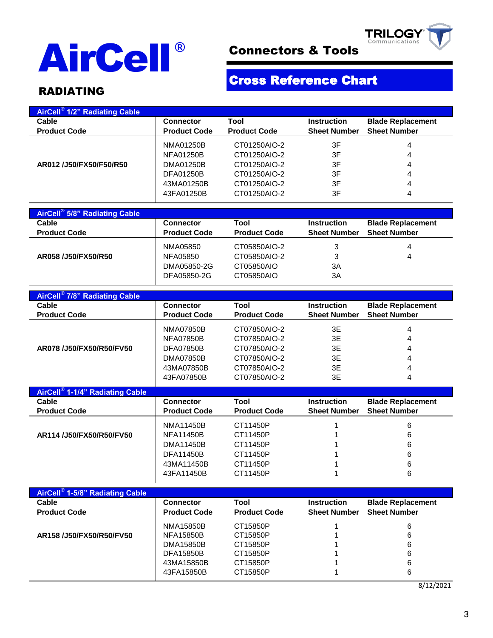

## Connectors & Tools

# Cross Reference Chart

### RADIATING

**AirCell® 1/2" Radiating Cable**

| <b>Cable</b>                                | <b>Connector</b>    | Tool                | <b>Instruction</b>  | <b>Blade Replacement</b> |
|---------------------------------------------|---------------------|---------------------|---------------------|--------------------------|
| <b>Product Code</b>                         | <b>Product Code</b> | <b>Product Code</b> | <b>Sheet Number</b> | <b>Sheet Number</b>      |
|                                             | <b>NMA01250B</b>    | CT01250AIO-2        | 3F                  | 4                        |
|                                             | <b>NFA01250B</b>    | CT01250AIO-2        | 3F                  | 4                        |
| AR012 /J50/FX50/F50/R50                     | DMA01250B           | CT01250AIO-2        | 3F                  | 4                        |
|                                             | DFA01250B           | CT01250AIO-2        | 3F                  | 4                        |
|                                             |                     |                     |                     |                          |
|                                             | 43MA01250B          | CT01250AIO-2        | 3F                  | 4                        |
|                                             | 43FA01250B          | CT01250AIO-2        | 3F                  | 4                        |
| AirCell® 5/8" Radiating Cable               |                     |                     |                     |                          |
| Cable                                       | <b>Connector</b>    | Tool                | <b>Instruction</b>  | <b>Blade Replacement</b> |
| <b>Product Code</b>                         | <b>Product Code</b> | <b>Product Code</b> | <b>Sheet Number</b> | <b>Sheet Number</b>      |
|                                             | NMA05850            | CT05850AIO-2        | 3                   | $\overline{4}$           |
| AR058 /J50/FX50/R50                         | NFA05850            | CT05850AIO-2        | 3                   | 4                        |
|                                             | DMA05850-2G         | CT05850AIO          | 3A                  |                          |
|                                             | DFA05850-2G         | CT05850AIO          | 3A                  |                          |
|                                             |                     |                     |                     |                          |
| AirCell® 7/8" Radiating Cable               |                     |                     |                     |                          |
| Cable                                       | <b>Connector</b>    | Tool                | <b>Instruction</b>  | <b>Blade Replacement</b> |
| <b>Product Code</b>                         | <b>Product Code</b> | <b>Product Code</b> | <b>Sheet Number</b> | <b>Sheet Number</b>      |
|                                             |                     |                     |                     |                          |
|                                             | <b>NMA07850B</b>    | CT07850AIO-2        | 3E                  | 4                        |
|                                             | <b>NFA07850B</b>    | CT07850AIO-2        | 3E                  | 4                        |
| AR078 /J50/FX50/R50/FV50                    | <b>DFA07850B</b>    | CT07850AIO-2        | 3E                  | 4                        |
|                                             | <b>DMA07850B</b>    | CT07850AIO-2        | 3E                  | 4                        |
|                                             | 43MA07850B          | CT07850AIO-2        | 3E                  | 4                        |
|                                             | 43FA07850B          | CT07850AIO-2        | 3E                  | 4                        |
| AirCell® 1-1/4" Radiating Cable             |                     |                     |                     |                          |
| Cable                                       | <b>Connector</b>    | Tool                | <b>Instruction</b>  | <b>Blade Replacement</b> |
| <b>Product Code</b>                         | <b>Product Code</b> | <b>Product Code</b> | <b>Sheet Number</b> | <b>Sheet Number</b>      |
|                                             | <b>NMA11450B</b>    | CT11450P            | 1                   | 6                        |
| AR114 /J50/FX50/R50/FV50                    | <b>NFA11450B</b>    | CT11450P            | 1                   | 6                        |
|                                             | DMA11450B           | CT11450P            | 1                   | 6                        |
|                                             | <b>DFA11450B</b>    | CT11450P            | 1                   | 6                        |
|                                             | 43MA11450B          | CT11450P            | 1                   | 6                        |
|                                             | 43FA11450B          | CT11450P            | 1                   | 6                        |
|                                             |                     |                     |                     |                          |
| AirCell <sup>®</sup> 1-5/8" Radiating Cable |                     |                     |                     |                          |
| Cable                                       | <b>Connector</b>    | Tool                | <b>Instruction</b>  | <b>Blade Replacement</b> |
| <b>Product Code</b>                         | <b>Product Code</b> | <b>Product Code</b> | <b>Sheet Number</b> | <b>Sheet Number</b>      |
|                                             | <b>NMA15850B</b>    | CT15850P            |                     | 6                        |
| AR158 /J50/FX50/R50/FV50                    | <b>NFA15850B</b>    | CT15850P            |                     | $\,6$                    |
|                                             | DMA15850B           | CT15850P            |                     | 6                        |
|                                             | DFA15850B           | CT15850P            |                     | 6                        |
|                                             | 43MA15850B          | CT15850P            |                     | 6                        |
|                                             | 43FA15850B          | CT15850P            |                     | 6                        |
|                                             |                     |                     |                     |                          |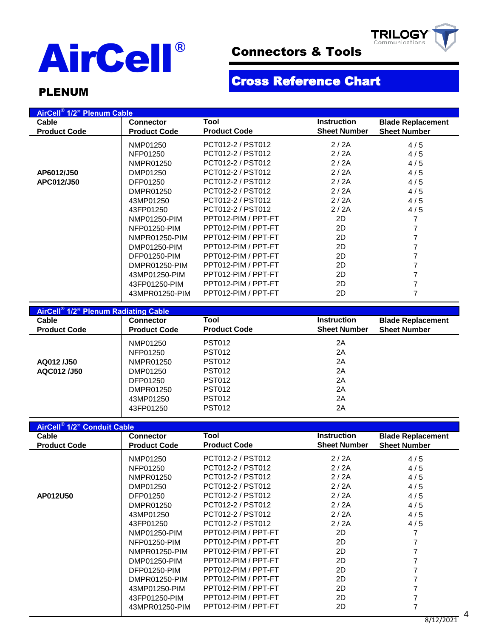

## Connectors & Tools

# Cross Reference Chart

#### PLENUM

| AirCell <sup>®</sup> 1/2" Plenum Cable |                     |                     |                     |                          |
|----------------------------------------|---------------------|---------------------|---------------------|--------------------------|
| Cable                                  | <b>Connector</b>    | Tool                | <b>Instruction</b>  | <b>Blade Replacement</b> |
| <b>Product Code</b>                    | <b>Product Code</b> | <b>Product Code</b> | <b>Sheet Number</b> | <b>Sheet Number</b>      |
|                                        | NMP01250            | PCT012-2 / PST012   | 2/2A                | 4/5                      |
|                                        | NFP01250            | PCT012-2 / PST012   | 2/2A                | 4/5                      |
|                                        | NMPR01250           | PCT012-2 / PST012   | 2/2A                | 4/5                      |
| AP6012/J50                             | DMP01250            | PCT012-2 / PST012   | 2/2A                | 4/5                      |
| APC012/J50                             | DFP01250            | PCT012-2 / PST012   | 2/2A                | 4/5                      |
|                                        | DMPR01250           | PCT012-2 / PST012   | 2/2A                | 4/5                      |
|                                        | 43MP01250           | PCT012-2 / PST012   | 2/2A                | 4/5                      |
|                                        | 43FP01250           | PCT012-2 / PST012   | 2/2A                | 4/5                      |
|                                        | NMP01250-PIM        | PPT012-PIM / PPT-FT | 2D                  |                          |
|                                        | NFP01250-PIM        | PPT012-PIM / PPT-FT | 2D                  |                          |
|                                        | NMPR01250-PIM       | PPT012-PIM / PPT-FT | 2D                  |                          |
|                                        | DMP01250-PIM        | PPT012-PIM / PPT-FT | 2D                  |                          |
|                                        | DFP01250-PIM        | PPT012-PIM / PPT-FT | 2D                  |                          |
|                                        | DMPR01250-PIM       | PPT012-PIM / PPT-FT | 2D                  |                          |
|                                        | 43MP01250-PIM       | PPT012-PIM / PPT-FT | 2D                  |                          |
|                                        | 43FP01250-PIM       | PPT012-PIM / PPT-FT | 2D                  | 7                        |
|                                        | 43MPR01250-PIM      | PPT012-PIM / PPT-FT | 2D                  |                          |

| AirCell <sup>®</sup> 1/2" Plenum Radiating Cable |                     |                     |                     |                          |  |  |
|--------------------------------------------------|---------------------|---------------------|---------------------|--------------------------|--|--|
| Cable                                            | <b>Connector</b>    | Tool                | <b>Instruction</b>  | <b>Blade Replacement</b> |  |  |
| <b>Product Code</b>                              | <b>Product Code</b> | <b>Product Code</b> | <b>Sheet Number</b> | <b>Sheet Number</b>      |  |  |
|                                                  | NMP01250            | <b>PST012</b>       | 2A                  |                          |  |  |
|                                                  | NFP01250            | <b>PST012</b>       | 2A                  |                          |  |  |
| AQ012 /J50                                       | NMPR01250           | <b>PST012</b>       | 2A                  |                          |  |  |
| AQC012 / J50                                     | DMP01250            | <b>PST012</b>       | 2A                  |                          |  |  |
|                                                  | DFP01250            | PST012              | 2A                  |                          |  |  |
|                                                  | DMPR01250           | <b>PST012</b>       | 2A                  |                          |  |  |
|                                                  | 43MP01250           | <b>PST012</b>       | 2A                  |                          |  |  |
|                                                  | 43FP01250           | PST012              | 2A                  |                          |  |  |

| AirCell <sup>®</sup> 1/2" Conduit Cable |                     |                     |                     |                          |  |  |
|-----------------------------------------|---------------------|---------------------|---------------------|--------------------------|--|--|
| Cable                                   | <b>Connector</b>    | Tool                | <b>Instruction</b>  | <b>Blade Replacement</b> |  |  |
| <b>Product Code</b>                     | <b>Product Code</b> | <b>Product Code</b> | <b>Sheet Number</b> | <b>Sheet Number</b>      |  |  |
|                                         | NMP01250            | PCT012-2 / PST012   | 2/2A                | 4/5                      |  |  |
|                                         | NFP01250            | PCT012-2 / PST012   | 2/2A                | 4/5                      |  |  |
|                                         | NMPR01250           | PCT012-2 / PST012   | 2/2A                | 4/5                      |  |  |
|                                         | DMP01250            | PCT012-2 / PST012   | 2/2A                | 4/5                      |  |  |
| AP012U50                                | DFP01250            | PCT012-2 / PST012   | 2/2A                | 4/5                      |  |  |
|                                         | DMPR01250           | PCT012-2 / PST012   | 2/2A                | 4/5                      |  |  |
|                                         | 43MP01250           | PCT012-2 / PST012   | 2/2A                | 4/5                      |  |  |
|                                         | 43FP01250           | PCT012-2 / PST012   | 2/2A                | 4/5                      |  |  |
|                                         | NMP01250-PIM        | PPT012-PIM / PPT-FT | 2D                  | 7                        |  |  |
|                                         | NFP01250-PIM        | PPT012-PIM / PPT-FT | 2D                  | 7                        |  |  |
|                                         | NMPR01250-PIM       | PPT012-PIM / PPT-FT | 2D                  |                          |  |  |
|                                         | DMP01250-PIM        | PPT012-PIM / PPT-FT | 2D                  |                          |  |  |
|                                         | DFP01250-PIM        | PPT012-PIM / PPT-FT | 2D                  |                          |  |  |
|                                         | DMPR01250-PIM       | PPT012-PIM / PPT-FT | 2D                  |                          |  |  |
|                                         | 43MP01250-PIM       | PPT012-PIM / PPT-FT | 2D                  |                          |  |  |
|                                         | 43FP01250-PIM       | PPT012-PIM / PPT-FT | 2D                  |                          |  |  |
|                                         | 43MPR01250-PIM      | PPT012-PIM / PPT-FT | 2D                  |                          |  |  |